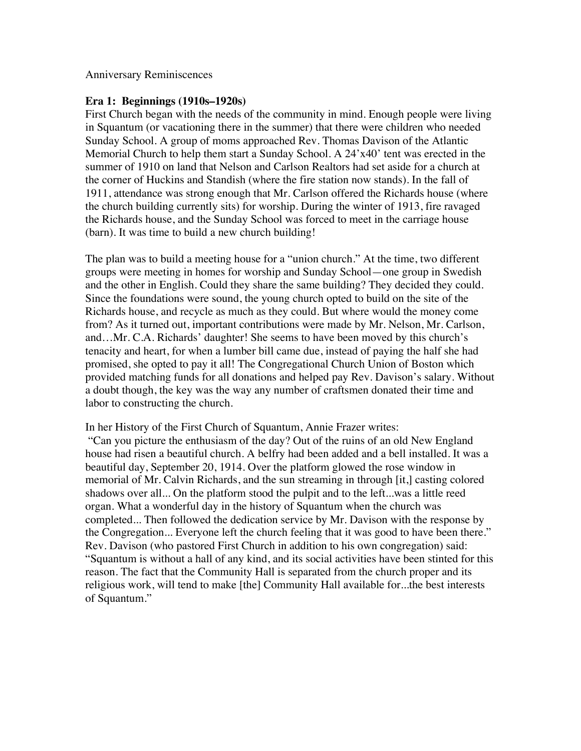Anniversary Reminiscences

# **Era 1: Beginnings (1910s–1920s)**

First Church began with the needs of the community in mind. Enough people were living in Squantum (or vacationing there in the summer) that there were children who needed Sunday School. A group of moms approached Rev. Thomas Davison of the Atlantic Memorial Church to help them start a Sunday School. A 24'x40' tent was erected in the summer of 1910 on land that Nelson and Carlson Realtors had set aside for a church at the corner of Huckins and Standish (where the fire station now stands). In the fall of 1911, attendance was strong enough that Mr. Carlson offered the Richards house (where the church building currently sits) for worship. During the winter of 1913, fire ravaged the Richards house, and the Sunday School was forced to meet in the carriage house (barn). It was time to build a new church building!

The plan was to build a meeting house for a "union church." At the time, two different groups were meeting in homes for worship and Sunday School—one group in Swedish and the other in English. Could they share the same building? They decided they could. Since the foundations were sound, the young church opted to build on the site of the Richards house, and recycle as much as they could. But where would the money come from? As it turned out, important contributions were made by Mr. Nelson, Mr. Carlson, and…Mr. C.A. Richards' daughter! She seems to have been moved by this church's tenacity and heart, for when a lumber bill came due, instead of paying the half she had promised, she opted to pay it all! The Congregational Church Union of Boston which provided matching funds for all donations and helped pay Rev. Davison's salary. Without a doubt though, the key was the way any number of craftsmen donated their time and labor to constructing the church.

In her History of the First Church of Squantum, Annie Frazer writes:

"Can you picture the enthusiasm of the day? Out of the ruins of an old New England house had risen a beautiful church. A belfry had been added and a bell installed. It was a beautiful day, September 20, 1914. Over the platform glowed the rose window in memorial of Mr. Calvin Richards, and the sun streaming in through [it,] casting colored shadows over all... On the platform stood the pulpit and to the left...was a little reed organ. What a wonderful day in the history of Squantum when the church was completed... Then followed the dedication service by Mr. Davison with the response by the Congregation... Everyone left the church feeling that it was good to have been there." Rev. Davison (who pastored First Church in addition to his own congregation) said: "Squantum is without a hall of any kind, and its social activities have been stinted for this reason. The fact that the Community Hall is separated from the church proper and its religious work, will tend to make [the] Community Hall available for...the best interests of Squantum."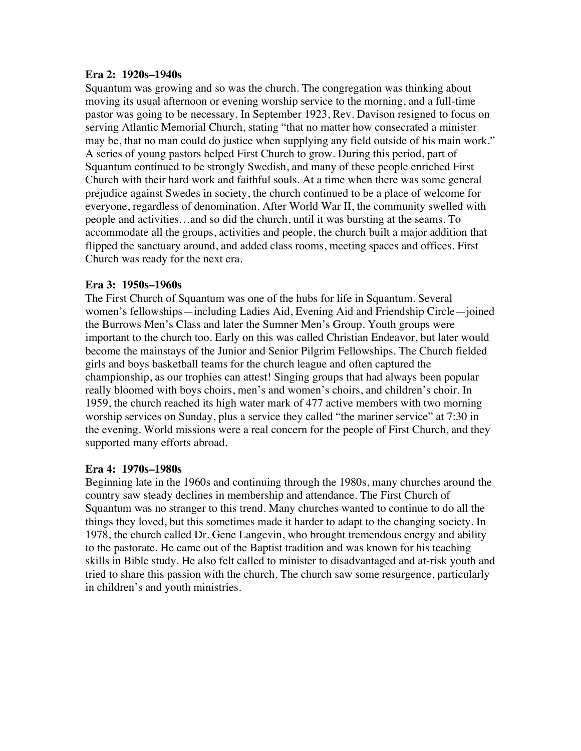### **Era 2: 1920s–1940s**

Squantum was growing and so was the church. The congregation was thinking about moving its usual afternoon or evening worship service to the morning, and a full-time pastor was going to be necessary. In September 1923, Rev. Davison resigned to focus on serving Atlantic Memorial Church, stating "that no matter how consecrated a minister may be, that no man could do justice when supplying any field outside of his main work." A series of young pastors helped First Church to grow. During this period, part of Squantum continued to be strongly Swedish, and many of these people enriched First Church with their hard work and faithful souls. At a time when there was some general prejudice against Swedes in society, the church continued to be a place of welcome for everyone, regardless of denomination. After World War II, the community swelled with people and activities…and so did the church, until it was bursting at the seams. To accommodate all the groups, activities and people, the church built a major addition that flipped the sanctuary around, and added class rooms, meeting spaces and offices. First Church was ready for the next era.

# **Era 3: 1950s–1960s**

The First Church of Squantum was one of the hubs for life in Squantum. Several women's fellowships—including Ladies Aid, Evening Aid and Friendship Circle—joined the Burrows Men's Class and later the Sumner Men's Group. Youth groups were important to the church too. Early on this was called Christian Endeavor, but later would become the mainstays of the Junior and Senior Pilgrim Fellowships. The Church fielded girls and boys basketball teams for the church league and often captured the championship, as our trophies can attest! Singing groups that had always been popular really bloomed with boys choirs, men's and women's choirs, and children's choir. In 1959, the church reached its high water mark of 477 active members with two morning worship services on Sunday, plus a service they called "the mariner service" at 7:30 in the evening. World missions were a real concern for the people of First Church, and they supported many efforts abroad.

#### **Era 4: 1970s–1980s**

Beginning late in the 1960s and continuing through the 1980s, many churches around the country saw steady declines in membership and attendance. The First Church of Squantum was no stranger to this trend. Many churches wanted to continue to do all the things they loved, but this sometimes made it harder to adapt to the changing society. In 1978, the church called Dr. Gene Langevin, who brought tremendous energy and ability to the pastorate. He came out of the Baptist tradition and was known for his teaching skills in Bible study. He also felt called to minister to disadvantaged and at-risk youth and tried to share this passion with the church. The church saw some resurgence, particularly in children's and youth ministries.